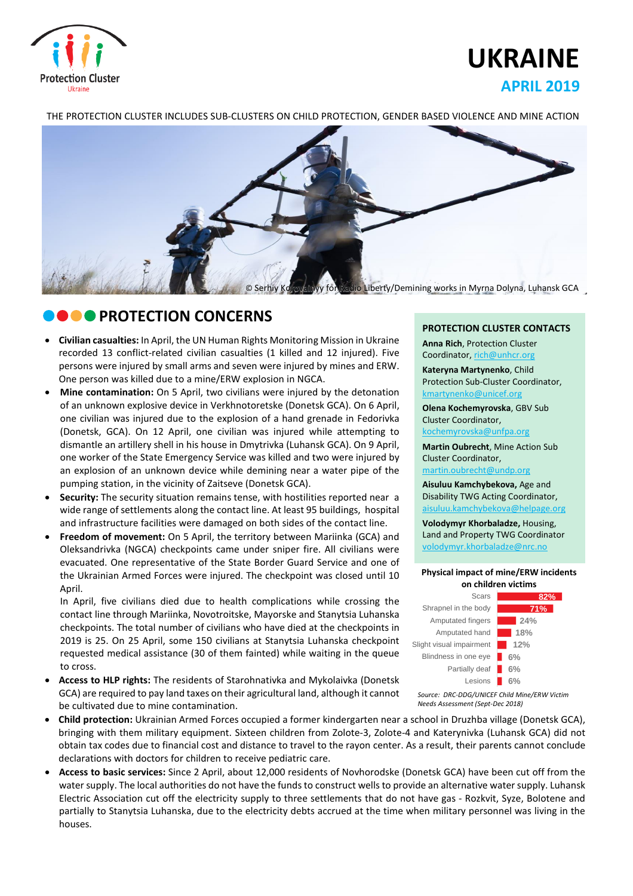

# **UKRAINE APRIL 2019**

THE PROTECTION CLUSTER INCLUDES SUB-CLUSTERS ON CHILD PROTECTION, GENDER BASED VIOLENCE AND MINE ACTION



# *DOO PROTECTION CONCERNS*

- **Civilian casualties:** In April, the UN Human Rights Monitoring Mission in Ukraine recorded 13 conflict-related civilian casualties (1 killed and 12 injured). Five persons were injured by small arms and seven were injured by mines and ERW. One person was killed due to a mine/ERW explosion in NGCA.
- **Mine contamination:** On 5 April, two civilians were injured by the detonation of an unknown explosive device in Verkhnotoretske (Donetsk GCA). On 6 April, one civilian was injured due to the explosion of a hand grenade in Fedorivka (Donetsk, GCA). On 12 April, one civilian was injured while attempting to dismantle an artillery shell in his house in Dmytrivka (Luhansk GCA). On 9 April, one worker of the State Emergency Service was killed and two were injured by an explosion of an unknown device while demining near a water pipe of the pumping station, in the vicinity of Zaitseve (Donetsk GCA).
- **Security:** The security situation remains tense, with hostilities reported near a wide range of settlements along the contact line. At least 95 buildings, hospital and infrastructure facilities were damaged on both sides of the contact line.
- **Freedom of movement:** On 5 April, the territory between Mariinka (GCA) and Oleksandrivka (NGCA) checkpoints came under sniper fire. All civilians were evacuated. One representative of the State Border Guard Service and one of the Ukrainian Armed Forces were injured. The checkpoint was closed until 10 April.

In April, five civilians died due to health complications while crossing the contact line through Mariinka, Novotroitske, Mayorske and Stanytsia Luhanska checkpoints. The total number of civilians who have died at the checkpoints in 2019 is 25. On 25 April, some 150 civilians at Stanytsia Luhanska checkpoint requested medical assistance (30 of them fainted) while waiting in the queue to cross.

 **Access to HLP rights:** The residents of Starohnativka and Mykolaivka (Donetsk GCA) are required to pay land taxes on their agricultural land, although it cannot be cultivated due to mine contamination.

#### **PROTECTION CLUSTER CONTACTS**

**Anna Rich**, Protection Cluster Coordinator, [rich@unhcr.org](mailto:rich@unhcr.org)

**Kateryna Martynenko**, Child Protection Sub-Cluster Coordinator, kmartynenko@unicef.org

**Olena Kochemyrovska**, GBV Sub Cluster Coordinator, [kochemyrovska@unfpa.org](mailto:kristesashvili@unfpa.org)

**Martin Oubrecht**, Mine Action Sub Cluster Coordinator, [martin.oubrecht@undp.org](mailto:martin.oubrecht@undp.org)

**Aisuluu Kamchybekova,** Age and Disability TWG Acting Coordinator, aisuluu.kamchybekova@helpage.org

**Volodymyr Khorbaladze,** Housing, Land and Property TWG Coordinator [volodymyr.khorbaladze@nrc.no](mailto:volodymyr.khorbaladze@nrc.no)

#### **Physical impact of mine/ERW incidents on children victims**



*Source: DRC-DDG/UNICEF Child Mine/ERW Victim Needs Assessment (Sept-Dec 2018)*

- **Child protection:** Ukrainian Armed Forces occupied a former kindergarten near a school in Druzhba village (Donetsk GCA), bringing with them military equipment. Sixteen children from Zolote-3, Zolote-4 and Katerynivka (Luhansk GCA) did not obtain tax codes due to financial cost and distance to travel to the rayon center. As a result, their parents cannot conclude declarations with doctors for children to receive pediatric care.
- **Access to basic services:** Since 2 April, about 12,000 residents of Novhorodske (Donetsk GCA) have been cut off from the water supply. The local authorities do not have the funds to construct wells to provide an alternative water supply. Luhansk Electric Association cut off the electricity supply to three settlements that do not have gas - Rozkvit, Syze, Bolotene and partially to Stanytsia Luhanska, due to the electricity debts accrued at the time when military personnel was living in the houses.